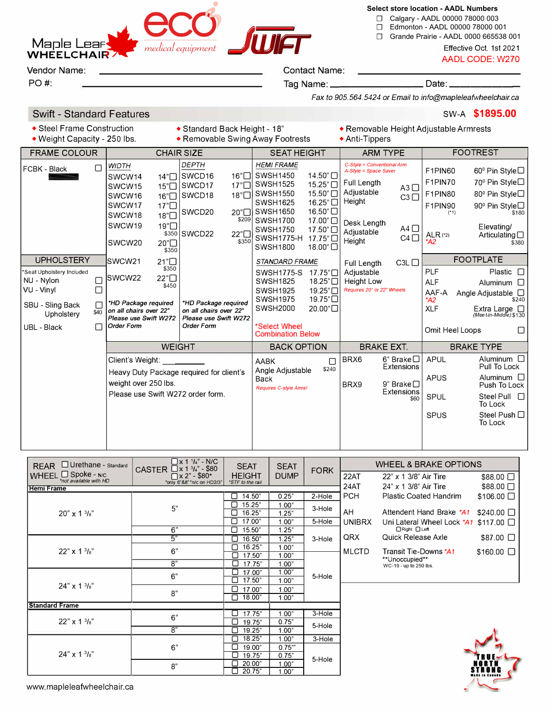

**Select store location - AADL Numbers**

☐ Calgary - AADL 00000 78000 003

- ☐ Edmonton AADL 00000 78000 001
- ☐ Grande Prairie AADL 0000 665538 001

AADL CODE: W270

Vendor Name: <u>Contact Name:</u> Contact Name:

PO#: Tag Name: \_\_\_\_\_\_\_\_\_ Date: \_\_\_\_\_\_ \_

*Fax to 905.564.5424 or Email to info@map/e/eafwhee/chairca* 

## Swift - Standard Features **SW-A \$1895.00 SW-A \$1895.00**

- 
- 
- Steel Frame Construction Standard Back Height 18" Removable Height Adjustable Armrests<br>• Weight Capacity 250 lbs. Removable Swing Away Footrests Anti-Tippers  $\bullet$  Removable Swing Away Footrests
- 

| <b>CHAIR SIZE</b><br><b>FRAME COLOUR</b>                                                                                                           |                                                                                                                                                                                                                                                                                                          | <b>SEAT HEIGHT</b>                                                                                                                                                                                                                                                           | <b>ARM TYPE</b>                                                                                                                                                                               | <b>FOOTREST</b>                                                                                                                                                                                                                                            |  |
|----------------------------------------------------------------------------------------------------------------------------------------------------|----------------------------------------------------------------------------------------------------------------------------------------------------------------------------------------------------------------------------------------------------------------------------------------------------------|------------------------------------------------------------------------------------------------------------------------------------------------------------------------------------------------------------------------------------------------------------------------------|-----------------------------------------------------------------------------------------------------------------------------------------------------------------------------------------------|------------------------------------------------------------------------------------------------------------------------------------------------------------------------------------------------------------------------------------------------------------|--|
| $\Box$<br>FCBK - Black                                                                                                                             | <b>DEPTH</b><br><b>WIDTH</b><br>SWCD <sub>16</sub><br>16"<br>SWCW14<br>14"<br>SWCD17<br>17"<br>15"<br>SWCW15<br>18"□<br>SWCD <sub>18</sub><br>SWCW16<br>16"□<br>SWCW17<br>17"□<br>SWCD20<br>20"□<br>18"□<br>SWCW18<br>\$209<br>SWCW19<br>19"□<br>22"<br>\$350 SWCD22<br>\$350<br>20"□<br>SWCW20<br>\$350 | <b>HEMI FRAME</b><br>14.50"□<br><b>SWSH1450</b><br><b>SWSH1525</b><br>15.25"□<br>SWSH1550<br>15.50"□<br><b>SWSH1625</b><br>16.25"□<br>16.50"□<br>SWSH1650<br><b>SWSH1700</b><br>17.00"□<br>17.50"□<br><b>SWSH1750</b><br>SWSH1775-H<br>17.75"□<br><b>SWSH1800</b><br>18.00"□ | C-Style = Conventional Arm<br>A-Style = Space Saver<br>Full Length<br>$A3$ $\Box$<br>Adjustable<br>$C3$ $\Box$<br>Height<br>Desk Length<br>$A4$ $\Box$<br>Adjustable<br>$C4$ $\Box$<br>Height | F1PIN60<br>60 <sup>°</sup> Pin Style□<br>70 <sup>°</sup> Pin Style□<br>F1PIN70<br>F1PIN80<br>80 <sup>°</sup> Pin Style□<br>90 <sup>°</sup> Pin Style□<br>F1PIN90<br>$(*1)$<br>\$180<br>Elevating/<br>ALR (*2)<br>Articulating $\square$<br>$*$ A2<br>\$380 |  |
| <b>UPHOLSTERY</b><br>*Seat Upholstery Included<br>NU - Nylon<br>С<br>VU - Vinyl<br>Г<br>SBU - Sling Back<br>L<br>\$40<br>Upholstery<br>UBL - Black | 21"□<br>ISWCW21<br>\$350<br>22"□<br><b>ISWCW22</b><br>\$450<br>*HD Package required<br>*HD Package required<br>on all chairs over 22"<br>on all chairs over 22"<br>Please use Swift W272<br>Please use Swift W272<br>Order Form<br>Order Form                                                            | STANDARD FRAME<br><b>SWSH1775-S</b><br>17.75"□<br>18.25"□<br><b>SWSH1825</b><br>19.25"□<br><b>SWSH1925</b><br><b>SWSH1975</b><br>19.75"□<br><b>SWSH2000</b><br>20.00"□<br>*Select Wheel<br><b>Combination Below</b>                                                          | C3L<br>Full Length<br>Adjustable<br><b>Height Low</b><br>Requires 20" or 22" Wheels                                                                                                           | <b>FOOTPLATE</b><br><b>PLF</b><br>Plastic $\square$<br><b>ALF</b><br>Aluminum $\Box$<br>AAF-A<br>Angle Adjustable □<br>*A2<br>\$240<br><b>XLF</b><br>Extra Large<br>(Mee t-In-Middle) \$130<br>Omit Heel Loops<br>П<br><b>BRAKE TYPE</b>                   |  |
|                                                                                                                                                    | <b>WEIGHT</b>                                                                                                                                                                                                                                                                                            |                                                                                                                                                                                                                                                                              | <b>BRAKE EXT.</b><br><b>BACK OPTION</b>                                                                                                                                                       |                                                                                                                                                                                                                                                            |  |
|                                                                                                                                                    | Client's Weight:<br>Heavy Duty Package required for client's<br>weight over 250 lbs.<br>Please use Swift W272 order form.                                                                                                                                                                                | <b>AABK</b><br>П<br>\$240<br>Angle Adjustable<br>Back<br>Requires C-style Arms!                                                                                                                                                                                              | 6" Brake $\Box$<br>BRX6<br>Extensions<br>BRX9<br>9" Brake $\square$<br>Extensions<br>\$60                                                                                                     | <b>APUL</b><br>Aluminum $\Box$<br>Pull To Lock<br><b>APUS</b><br>Aluminum $\Box$<br>Push To Lock<br><b>SPUL</b><br>Steel Pull $\Box$<br>To Lock<br>Steel Push $\Box$<br><b>SPUS</b><br>To Lock                                                             |  |

| $\Box$ Urethane - Standard<br><b>REAR</b> |                                                    | $\Box$ x 1 $\frac{1}{4}$ " - N/C                                                              | <b>SEAT</b>                       | <b>SEAT</b> |             | <b>WHEEL &amp; BRAKE OPTIONS</b> |                                          |                       |
|-------------------------------------------|----------------------------------------------------|-----------------------------------------------------------------------------------------------|-----------------------------------|-------------|-------------|----------------------------------|------------------------------------------|-----------------------|
|                                           | WHEEL <b>Spoke</b> - N/C<br>*not available with HD | CASTER $\Box$ x 1 $\frac{3}{4}$ " - \$80<br>$\Box$ x 2" - \$80*<br>*only 6"&8" *n/c on HD2/3" | <b>HEIGHT</b><br>*STF to the rail | <b>DUMP</b> | <b>FORK</b> | 22AT                             | 22" x 1 3/8" Air Tire                    | $$88.00$ $\Box$       |
| <b>Hemi Frame</b>                         |                                                    |                                                                                               |                                   |             |             | 24AT                             | 24" x 1 3/8" Air Tire                    | $$88.00$ $\Box$       |
|                                           |                                                    |                                                                                               | 14.50"<br>ப                       | 0.25"       | 2-Hole      | <b>PCH</b>                       | Plastic Coated Handrim                   | $$106.00$ $\Box$      |
|                                           |                                                    | 5"                                                                                            | 15.25"                            | 1.00"       | 3-Hole      |                                  |                                          |                       |
|                                           | $20" \times 1\frac{3}{8}$                          |                                                                                               | 16.25"                            | 1.25"       |             | AH                               | Attendent Hand Brake *A1                 | $$240.00$ $\Box$      |
|                                           |                                                    |                                                                                               | 17.00"                            | 1.00"       | 5-Hole      | <b>UNIBRX</b>                    | Uni Lateral Wheel Lock *A1               | $$117.00$ $\Box$      |
|                                           |                                                    | 6"                                                                                            | 15.50"                            | 1.25"       |             |                                  | □ Right □ Left                           |                       |
|                                           |                                                    | 5"                                                                                            | 16.50"                            | 1.25"       | 3-Hole      | QRX                              | Quick Release Axle                       | \$87.00 □             |
|                                           |                                                    | 6"                                                                                            | 16.25"<br>٦                       | 1.00"       |             |                                  |                                          |                       |
|                                           | $22" \times 1\frac{3}{8}$                          |                                                                                               | 17.50"                            | 1.00"       |             | <b>MLCTD</b>                     | Transit Tie-Downs *A1                    | $$160.00$ $\Box$      |
|                                           |                                                    | 8"                                                                                            | П<br>17.75"                       | 1.00"       |             |                                  | **Unoccupied**<br>WC-19 - up to 250 lbs. |                       |
|                                           |                                                    | 6"                                                                                            | 17.00"                            | 1.00"       | 5-Hole      |                                  |                                          |                       |
|                                           |                                                    |                                                                                               | 17.50"                            | 1.00"       |             |                                  |                                          |                       |
|                                           | $24'' \times 13'_{8}$                              | 8"                                                                                            | 17.00"                            | 1.00"       |             |                                  |                                          |                       |
|                                           |                                                    |                                                                                               | ⊓<br>18.00"                       | 1.00"       |             |                                  |                                          |                       |
| <b>Standard Frame</b>                     |                                                    |                                                                                               |                                   |             |             |                                  |                                          |                       |
|                                           |                                                    | 6"                                                                                            | 17.75"<br>Ū.                      | 1.00"       | 3-Hole      |                                  |                                          |                       |
| $22" \times 1\frac{3}{8}"$                |                                                    |                                                                                               | 19.75"<br>$\Box$                  | 0.75"       | 5-Hole      |                                  |                                          |                       |
|                                           | 8"                                                 | □<br>19.25"                                                                                   | 1.00"                             |             |             |                                  |                                          |                       |
| $24" \times 1\frac{3}{8}$                 |                                                    | 18.25"<br>П                                                                                   | 1.00"                             | 3-Hole      |             |                                  |                                          |                       |
|                                           | 6"                                                 | 19.00"                                                                                        | $0.75^{m}$                        |             |             |                                  |                                          |                       |
|                                           |                                                    |                                                                                               | 19.75"                            | 0.75"       |             |                                  |                                          |                       |
|                                           | 8"                                                 | 20.00"                                                                                        | 1.00"                             | 5-Hole      |             |                                  |                                          |                       |
|                                           |                                                    |                                                                                               | 20.75"                            | 1.00"       |             |                                  |                                          | <b>Made in Canada</b> |

| <b>SEAT</b>                      | <b>SEAT</b> | <b>FORK</b> |               | <b>WHEEL &amp; BRAKE OPTIONS</b>        |                  |
|----------------------------------|-------------|-------------|---------------|-----------------------------------------|------------------|
| <b>HEIGHT</b><br>STF to the rail | <b>DUMP</b> |             | 22AT          | 22" x 1 3/8" Air Tire                   | $$88.00$ $\Box$  |
|                                  |             |             | 24AT          | 24" x 1 3/8" Air Tire                   | $$88.00$ $\Box$  |
| П<br>14.50"                      | 0.25"       | 2-Hole      | <b>PCH</b>    | Plastic Coated Handrim                  | $$106.00$ $\Box$ |
| 15.25"                           | 1.00"       | 3-Hole      |               |                                         |                  |
| 16.25"                           | 1.25"       |             | AH            | Attendent Hand Brake *A1                | $$240.00$ $\Box$ |
| 17.00"                           | 1.00"       | 5-Hole      | <b>UNIBRX</b> | Uni Lateral Wheel Lock *A1              | $$117.00$ $\Box$ |
| 15.50"<br>l I                    | 1.25"       |             |               | □ Right □ Left                          |                  |
| 16.50"                           | 1.25"       | 3-Hole      | QRX           | Quick Release Axle                      | $$87.00$ $\Box$  |
| □<br>16.25"                      | 1.00"       |             | <b>MLCTD</b>  |                                         |                  |
| 17.50"                           | 1.00"       |             |               | Transit Tie-Downs *A1<br>**Unoccupied** | $$160.00$ $\Box$ |
| 17.75"                           | 1.00"       |             |               | WC-19 - up to 250 lbs.                  |                  |
| ◻<br>17.00"                      | 1.00"       | $F = 11.14$ |               |                                         |                  |